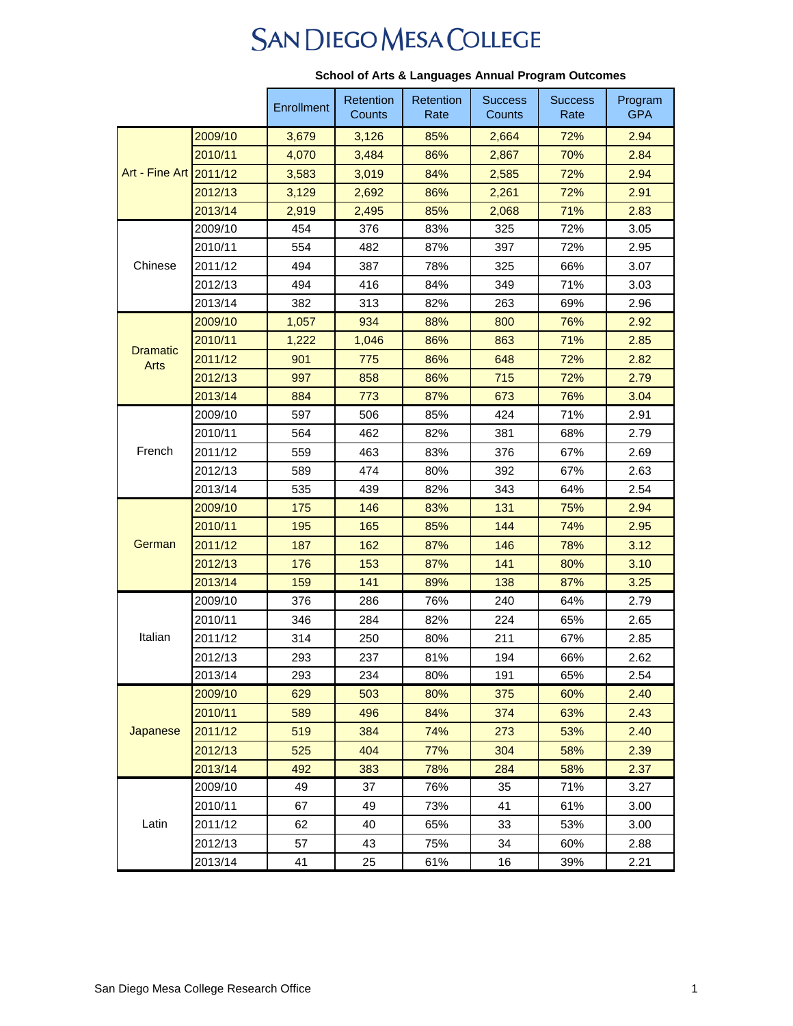## **SAN DIEGO MESA COLLEGE**

|                         |         | Enrollment | Retention<br>Counts | Retention<br>Rate | <b>Success</b><br>Counts | <b>Success</b><br>Rate | Program<br><b>GPA</b> |
|-------------------------|---------|------------|---------------------|-------------------|--------------------------|------------------------|-----------------------|
| Art - Fine Art 2011/12  | 2009/10 | 3,679      | 3,126               | 85%               | 2,664                    | 72%                    | 2.94                  |
|                         | 2010/11 | 4,070      | 3,484               | 86%               | 2,867                    | 70%                    | 2.84                  |
|                         |         | 3,583      | 3,019               | 84%               | 2,585                    | 72%                    | 2.94                  |
|                         | 2012/13 | 3,129      | 2,692               | 86%               | 2,261                    | 72%                    | 2.91                  |
|                         | 2013/14 | 2,919      | 2,495               | 85%               | 2,068                    | 71%                    | 2.83                  |
| Chinese                 | 2009/10 | 454        | 376                 | 83%               | 325                      | 72%                    | 3.05                  |
|                         | 2010/11 | 554        | 482                 | 87%               | 397                      | 72%                    | 2.95                  |
|                         | 2011/12 | 494        | 387                 | 78%               | 325                      | 66%                    | 3.07                  |
|                         | 2012/13 | 494        | 416                 | 84%               | 349                      | 71%                    | 3.03                  |
|                         | 2013/14 | 382        | 313                 | 82%               | 263                      | 69%                    | 2.96                  |
|                         | 2009/10 | 1,057      | 934                 | 88%               | 800                      | 76%                    | 2.92                  |
|                         | 2010/11 | 1,222      | 1,046               | 86%               | 863                      | 71%                    | 2.85                  |
| <b>Dramatic</b><br>Arts | 2011/12 | 901        | 775                 | 86%               | 648                      | 72%                    | 2.82                  |
|                         | 2012/13 | 997        | 858                 | 86%               | 715                      | 72%                    | 2.79                  |
|                         | 2013/14 | 884        | 773                 | 87%               | 673                      | 76%                    | 3.04                  |
|                         | 2009/10 | 597        | 506                 | 85%               | 424                      | 71%                    | 2.91                  |
|                         | 2010/11 | 564        | 462                 | 82%               | 381                      | 68%                    | 2.79                  |
| French                  | 2011/12 | 559        | 463                 | 83%               | 376                      | 67%                    | 2.69                  |
|                         | 2012/13 | 589        | 474                 | 80%               | 392                      | 67%                    | 2.63                  |
|                         | 2013/14 | 535        | 439                 | 82%               | 343                      | 64%                    | 2.54                  |
|                         | 2009/10 | 175        | 146                 | 83%               | 131                      | 75%                    | 2.94                  |
| German                  | 2010/11 | 195        | 165                 | 85%               | 144                      | 74%                    | 2.95                  |
|                         | 2011/12 | 187        | 162                 | 87%               | 146                      | 78%                    | 3.12                  |
|                         | 2012/13 | 176        | 153                 | 87%               | 141                      | 80%                    | 3.10                  |
|                         | 2013/14 | 159        | 141                 | 89%               | 138                      | 87%                    | 3.25                  |
| Italian                 | 2009/10 | 376        | 286                 | 76%               | 240                      | 64%                    | 2.79                  |
|                         | 2010/11 | 346        | 284                 | 82%               | 224                      | 65%                    | 2.65                  |
|                         | 2011/12 | 314        | 250                 | 80%               | 211                      | 67%                    | 2.85                  |
|                         | 2012/13 | 293        | 237                 | 81%               | 194                      | 66%                    | 2.62                  |
|                         | 2013/14 | 293        | 234                 | 80%               | 191                      | 65%                    | 2.54                  |
| Japanese                | 2009/10 | 629        | 503                 | 80%               | 375                      | 60%                    | 2.40                  |
|                         | 2010/11 | 589        | 496                 | 84%               | 374                      | 63%                    | 2.43                  |
|                         | 2011/12 | 519        | 384                 | 74%               | 273                      | 53%                    | 2.40                  |
|                         | 2012/13 | 525        | 404                 | 77%               | 304                      | 58%                    | 2.39                  |
|                         | 2013/14 | 492        | 383                 | 78%               | 284                      | 58%                    | 2.37                  |
| Latin                   | 2009/10 | 49         | 37                  | 76%               | 35                       | 71%                    | 3.27                  |
|                         | 2010/11 | 67         | 49                  | 73%               | 41                       | 61%                    | 3.00                  |
|                         | 2011/12 | 62         | 40                  | 65%               | 33                       | 53%                    | 3.00                  |
|                         | 2012/13 | 57         | 43                  | 75%               | 34                       | 60%                    | 2.88                  |
|                         | 2013/14 | 41         | 25                  | 61%               | 16                       | 39%                    | 2.21                  |

## **School of Arts & Languages Annual Program Outcomes**